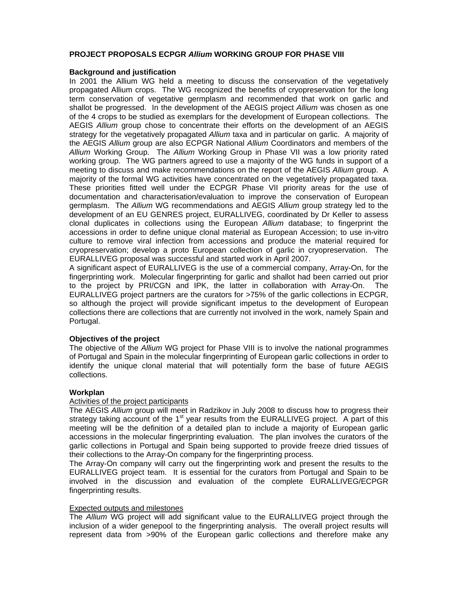## **PROJECT PROPOSALS ECPGR** *Allium* **WORKING GROUP FOR PHASE VIII**

### **Background and justification**

In 2001 the Allium WG held a meeting to discuss the conservation of the vegetatively propagated Allium crops. The WG recognized the benefits of cryopreservation for the long term conservation of vegetative germplasm and recommended that work on garlic and shallot be progressed. In the development of the AEGIS project *Allium* was chosen as one of the 4 crops to be studied as exemplars for the development of European collections. The AEGIS *Allium* group chose to concentrate their efforts on the development of an AEGIS strategy for the vegetatively propagated *Allium* taxa and in particular on garlic. A majority of the AEGIS *Allium* group are also ECPGR National *Allium* Coordinators and members of the *Allium* Working Group. The *Allium* Working Group in Phase VII was a low priority rated working group. The WG partners agreed to use a majority of the WG funds in support of a meeting to discuss and make recommendations on the report of the AEGIS *Allium* group. A majority of the formal WG activities have concentrated on the vegetatively propagated taxa. These priorities fitted well under the ECPGR Phase VII priority areas for the use of documentation and characterisation/evaluation to improve the conservation of European germplasm. The *Allium* WG recommendations and AEGIS *Allium* group strategy led to the development of an EU GENRES project, EURALLIVEG, coordinated by Dr Keller to assess clonal duplicates in collections using the European *Allium* database; to fingerprint the accessions in order to define unique clonal material as European Accession; to use in-vitro culture to remove viral infection from accessions and produce the material required for cryopreservation; develop a proto European collection of garlic in cryopreservation. The EURALLIVEG proposal was successful and started work in April 2007.

A significant aspect of EURALLIVEG is the use of a commercial company, Array-On, for the fingerprinting work. Molecular fingerprinting for garlic and shallot had been carried out prior to the project by PRI/CGN and IPK, the latter in collaboration with Array-On. The EURALLIVEG project partners are the curators for >75% of the garlic collections in ECPGR, so although the project will provide significant impetus to the development of European collections there are collections that are currently not involved in the work, namely Spain and Portugal.

## **Objectives of the project**

The objective of the *Allium* WG project for Phase VIII is to involve the national programmes of Portugal and Spain in the molecular fingerprinting of European garlic collections in order to identify the unique clonal material that will potentially form the base of future AEGIS collections.

## **Workplan**

#### Activities of the project participants

The AEGIS *Allium* group will meet in Radzikov in July 2008 to discuss how to progress their strategy taking account of the 1<sup>st</sup> year results from the EURALLIVEG project. A part of this meeting will be the definition of a detailed plan to include a majority of European garlic accessions in the molecular fingerprinting evaluation. The plan involves the curators of the garlic collections in Portugal and Spain being supported to provide freeze dried tissues of their collections to the Array-On company for the fingerprinting process.

The Array-On company will carry out the fingerprinting work and present the results to the EURALLIVEG project team. It is essential for the curators from Portugal and Spain to be involved in the discussion and evaluation of the complete EURALLIVEG/ECPGR fingerprinting results.

## Expected outputs and milestones

The *Allium* WG project will add significant value to the EURALLIVEG project through the inclusion of a wider genepool to the fingerprinting analysis. The overall project results will represent data from >90% of the European garlic collections and therefore make any